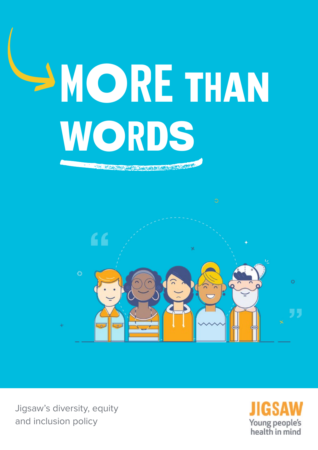

Jigsaw's diversity, equity and inclusion policy

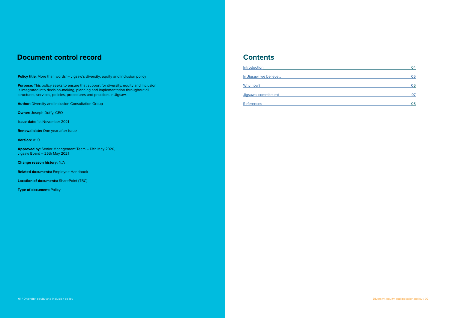#### **Contents**

**[References](#page-4-0)** 

| Introduction          | 04 |
|-----------------------|----|
| In Jigsaw, we believe | 05 |
| Why now?              | 06 |
| Jigsaw's commitment   | ሰ7 |
|                       |    |

| 04 |
|----|
|    |
| 05 |
|    |
| 06 |
|    |
| 07 |
|    |
| 08 |
|    |

**Purpose:** This policy seeks to ensure that support for diversity, equity and inclusion is integrated into decision-making, planning and implementation throughout all structures, services, policies, procedures and practices in Jigsaw.

**Author:** Diversity and Inclusion Consultation Group

**Owner:** Joseph Duffy, CEO

**Issue date:** 1st November 2021

**Renewal date:** One year after issue

**Version:** V1.0

**Approved by:** Senior Management Team – 13th May 2020, Jigsaw Board – 25th May 2021

**Change reason history:** N/A

**Related documents:** Employee Handbook

**Location of documents:** SharePoint (TBC)

**Type of document: Policy** 

### <span id="page-1-0"></span>**Document control record**

**Policy title:** More than words' – Jigsaw's diversity, equity and inclusion policy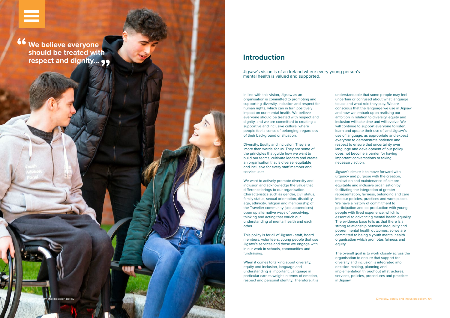<span id="page-2-0"></span>[Running header](#page-1-0)

In line with this vision, Jigsaw as an organisation is committed to promoting and supporting diversity, inclusion and respect for human rights, which can in turn positively impact on our mental health. We believe everyone should be treated with respect and dignity, and we are committed to creating a supportive and inclusive culture, where people feel a sense of belonging, regardless of their background or situation.

Diversity, Equity and Inclusion. They are 'more than words' for us. They are some of the principles that guide how we want to build our teams, cultivate leaders and create an organisation that is diverse, equitable and inclusive for every staff member and service user.

We want to actively promote diversity and inclusion and acknowledge the value that difference brings to our organisation. Characteristics such as gender, civil status, family status, sexual orientation, disability, age, ethnicity, religion and membership of the Traveller community (see appendices) open up alternative ways of perceiving, thinking and acting that enrich our understanding of mental health and each other.

This policy is for all of Jigsaw - staff, board members, volunteers, young people that use Jigsaw's services and those we engage with in our work in schools, communities and fundraising.

When it comes to talking about diversity, equity and inclusion, language and understanding is important. Language in particular carries weight in terms of emotion, respect and personal identity. Therefore, it is

#### **Introduction**

**Heading We believe everyone should be treated with respect and dignity... ""**

8 A New Perspective / Prevention and early intervention and early intervention and early intervention and early intervention d inclusion policy

understandable that some people may feel uncertain or confused about what language to use and what role they play. We are conscious that the language we use in Jigsaw and how we embark upon realising our ambition in relation to diversity, equity and inclusion will take time and will evolve. We will continue to support everyone to listen, learn and update their use of, and Jigsaw's use of language, as appropriate and expect everyone to demonstrate patience and respect to ensure that uncertainty over language and development of our policy does not become a barrier for having important conversations or taking necessary action. Jigsaw's desire is to move forward with urgency and purpose with the creation, realisation and maintenance of a more equitable and inclusive organisation by facilitating the integration of greater representation, fairness, belonging and care into our policies, practices and work places. We have a history of commitment to participation and co-production with young people with lived experience, which is essential to advancing mental health equality. The evidence base tells us that there is a strong relationship between inequality and poorer mental health outcomes, so we are committed to being a youth mental health organisation which promotes fairness and equity.

The overall goal is to work closely across the organisation to ensure that support for diversity and inclusion is integrated into decision-making, planning and implementation throughout all structures, services, policies, procedures and practices in Jigsaw.

Jigsaw's vision is of an Ireland where every young person's mental health is valued and supported.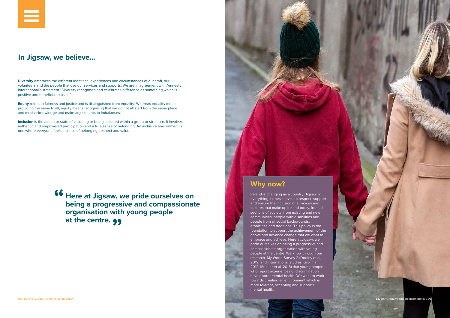**Diversity** embraces the different identities, experiences and circumstances of our staff, our volunteers and the people that use our services and supports. We are in agreement with Amnesty International's statement "Diversity recognises and celebrates difference as something which is positive and beneficial to us all".

**Equity** refers to fairness and justice and is distinguished from equality: Whereas equality means providing the same to all, equity means recognising that we do not all start from the same place and must acknowledge and make adjustments to imbalances.

**Inclusion** is the action or state of including or being included within a group or structure. It involves authentic and empowered participation and a true sense of belonging. An inclusive environment is one where everyone feels a sense of belonging, respect and value.

Diversity, equity and inclusion policy / 06

<span id="page-3-0"></span>

## **In Jigsaw, we believe...**

# **Why now?**

Ireland is changing as a country. Jigsaw, in everything it does, strives to respect, support and ensure the inclusion of all voices and cultures that make up Ireland today, from all sections of society, from existing and new communities, people with disabilities and people from all social backgrounds, ethnicities and traditions. This policy is the foundation to support the achievement of the above and advance change that we want to embrace and achieve. Here at Jigsaw, we pride ourselves on being a progressive and compassionate organisation with young people at the centre. We know through our research, My World Survey 2 (Dooley et al, 2019) and international studies (Grollman, 2012; Mueller et al, 2015) that young people who report experiences of discrimination have poorer mental health. We want to work towards creating an environment which is more tolerant, accepting and supports mental health.

**Here at Jigsaw, we pride ourselves on being a progressive and compassionate organisation with young people**  at the centre. **99 "**

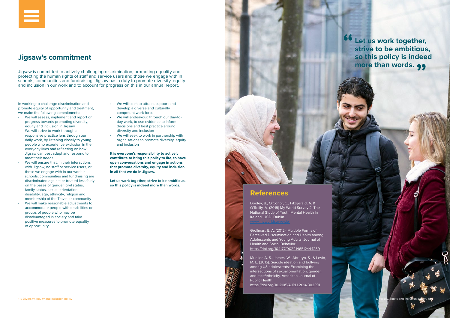

In working to challenge discrimination and promote equity of opportunity and treatment, we make the following commitments:

- We will assess, implement and report on progress towards promoting diversity, equity and inclusion in Jigsaw
- We will strive to work through a responsive practice lens through our daily work, by listening closely to young people who experience exclusion in their everyday lives and reflecting on how Jigsaw can best adapt and respond to meet their needs
- We will ensure that, in their interactions with Jigsaw, no staff or service users, or those we engage with in our work in schools, communities and fundraising are discriminated against or treated less fairly on the bases of gender, civil status, family status, sexual orientation, disability, age, ethnicity, religion and membership of the Traveller community
- We will make reasonable adjustments to accommodate people with disabilities or groups of people who may be disadvantaged in society and take positive measures to promote equality of opportunity
- We will seek to attract, support and develop a diverse and culturally competent work force
- We will endeavour, through our day-today work, to use evidence to inform decisions and best practice around diversity and inclusion
- We will seek to work in partnership with organisations to promote diversity, equity and inclusion

**It is everyone's responsibility to actively contribute to bring this policy to life, to have open conversations and engage in actions that promote diversity, equity and inclusion in all that we do in Jigsaw.** 

**Let us work together, strive to be ambitious, so this policy is indeed more than words.** 



# <span id="page-4-0"></span>**Jigsaw's commitment**

Jigsaw is committed to actively challenging discrimination, promoting equality and protecting the human rights of staff and service users and those we engage with in schools, communities and fundraising. Jigsaw has a duty to promote diversity, equity and inclusion in our work and to account for progress on this in our annual report.

#### **References**

Dooley, B., O'Conor, C., Fitzgerald, A. & O'Reilly, A. (2019) My World Survey 2. The National Study of Youth Mental Health in Ireland. UCD: Dublin.

Grollman, E. A. (2012). Multiple Forms of Perceived Discrimination and Health among Adolescents and Young Adults. Journal of Health and Social Behavior. <https://doi.org/10.1177/0022146512444289>

Mueller, A. S., James, W., Abrutyn, S., & Levin, M. L. (2015). Suicide ideation and bullying among US adolescents: Examining the intersections of sexual orientation, gender, and race/ethnicity. American Journal of Public Health.

<https://doi.org/10.2105/AJPH.2014.302391>

**Let us work together, strive to be ambitious, so this policy is indeed more than words. 99 "**

₩